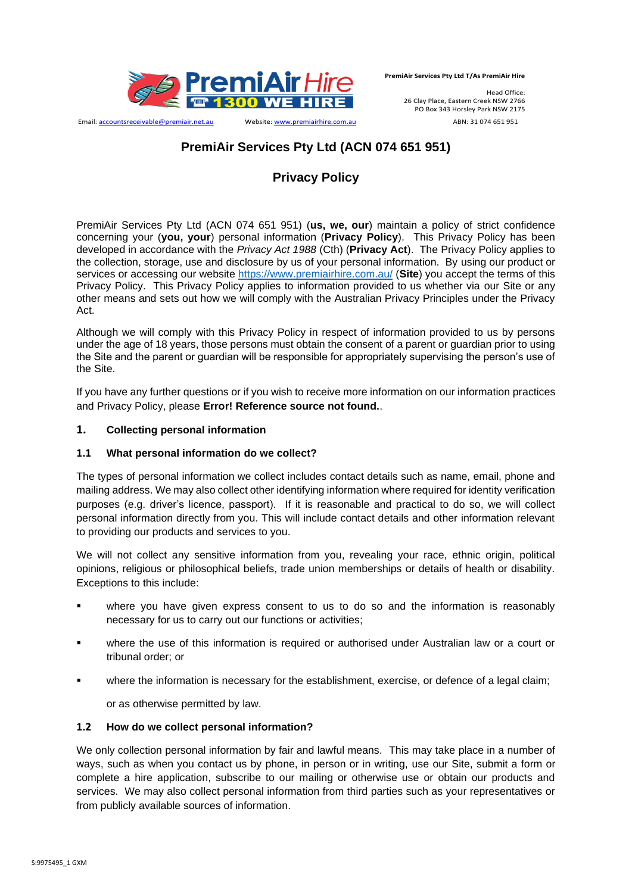

Email: accountsreceivable@premiair.net.au Website: www.premiairhire.com.au ABN: 31 074 651 951

**PremiAir Services Pty Ltd T/As PremiAir Hire**

Head Office: 26 Clay Place, Eastern Creek NSW 2766 PO Box 343 Horsley Park NSW 2175

# **PremiAir Services Pty Ltd (ACN 074 651 951)**

# **Privacy Policy**

PremiAir Services Pty Ltd (ACN 074 651 951) (**us, we, our**) maintain a policy of strict confidence concerning your (**you, your**) personal information (**Privacy Policy**). This Privacy Policy has been developed in accordance with the *Privacy Act 1988* (Cth) (**Privacy Act**). The Privacy Policy applies to the collection, storage, use and disclosure by us of your personal information. By using our product or services or accessing our website<https://www.premiairhire.com.au/> (**Site**) you accept the terms of this Privacy Policy. This Privacy Policy applies to information provided to us whether via our Site or any other means and sets out how we will comply with the Australian Privacy Principles under the Privacy Act.

Although we will comply with this Privacy Policy in respect of information provided to us by persons under the age of 18 years, those persons must obtain the consent of a parent or guardian prior to using the Site and the parent or guardian will be responsible for appropriately supervising the person's use of the Site.

If you have any further questions or if you wish to receive more information on our information practices and Privacy Policy, please **Error! Reference source not found.**.

## **1. Collecting personal information**

#### **1.1 What personal information do we collect?**

The types of personal information we collect includes contact details such as name, email, phone and mailing address. We may also collect other identifying information where required for identity verification purposes (e.g. driver's licence, passport). If it is reasonable and practical to do so, we will collect personal information directly from you. This will include contact details and other information relevant to providing our products and services to you.

We will not collect any sensitive information from you, revealing your race, ethnic origin, political opinions, religious or philosophical beliefs, trade union memberships or details of health or disability. Exceptions to this include:

- where you have given express consent to us to do so and the information is reasonably necessary for us to carry out our functions or activities;
- where the use of this information is required or authorised under Australian law or a court or tribunal order; or
- where the information is necessary for the establishment, exercise, or defence of a legal claim;

or as otherwise permitted by law.

#### **1.2 How do we collect personal information?**

We only collection personal information by fair and lawful means. This may take place in a number of ways, such as when you contact us by phone, in person or in writing, use our Site, submit a form or complete a hire application, subscribe to our mailing or otherwise use or obtain our products and services. We may also collect personal information from third parties such as your representatives or from publicly available sources of information.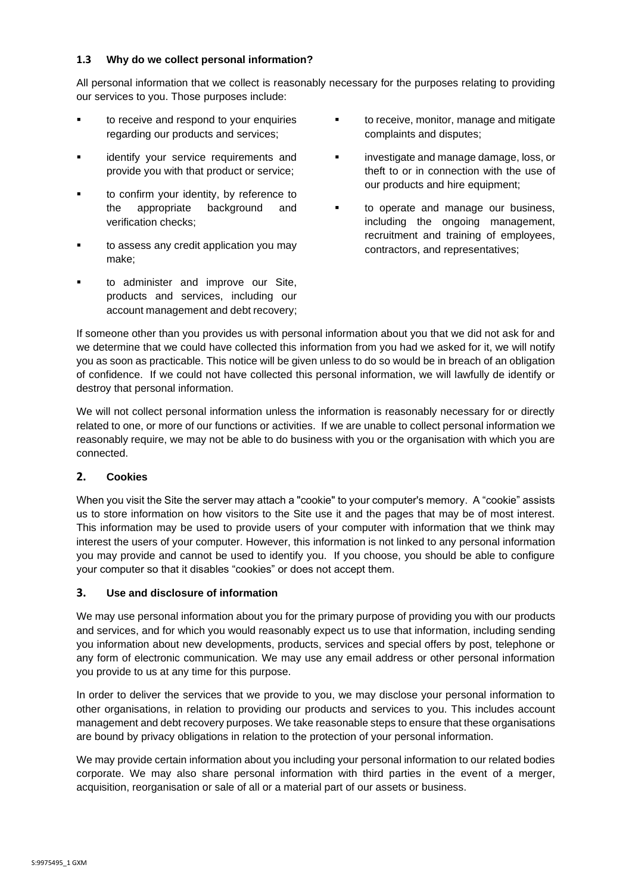## **1.3 Why do we collect personal information?**

All personal information that we collect is reasonably necessary for the purposes relating to providing our services to you. Those purposes include:

- to receive and respond to your enquiries regarding our products and services;
- identify your service requirements and provide you with that product or service;
- to confirm your identity, by reference to the appropriate background and verification checks;
- to assess any credit application you may make;
- to administer and improve our Site, products and services, including our account management and debt recovery;
- **■** to receive, monitor, manage and mitigate complaints and disputes;
- **•** investigate and manage damage, loss, or theft to or in connection with the use of our products and hire equipment;
- **■** to operate and manage our business, including the ongoing management, recruitment and training of employees, contractors, and representatives;

If someone other than you provides us with personal information about you that we did not ask for and we determine that we could have collected this information from you had we asked for it, we will notify you as soon as practicable. This notice will be given unless to do so would be in breach of an obligation of confidence. If we could not have collected this personal information, we will lawfully de identify or destroy that personal information.

We will not collect personal information unless the information is reasonably necessary for or directly related to one, or more of our functions or activities. If we are unable to collect personal information we reasonably require, we may not be able to do business with you or the organisation with which you are connected.

## **2. Cookies**

When you visit the Site the server may attach a "cookie" to your computer's memory. A "cookie" assists us to store information on how visitors to the Site use it and the pages that may be of most interest. This information may be used to provide users of your computer with information that we think may interest the users of your computer. However, this information is not linked to any personal information you may provide and cannot be used to identify you. If you choose, you should be able to configure your computer so that it disables "cookies" or does not accept them.

## **3. Use and disclosure of information**

We may use personal information about you for the primary purpose of providing you with our products and services, and for which you would reasonably expect us to use that information, including sending you information about new developments, products, services and special offers by post, telephone or any form of electronic communication. We may use any email address or other personal information you provide to us at any time for this purpose.

In order to deliver the services that we provide to you, we may disclose your personal information to other organisations, in relation to providing our products and services to you. This includes account management and debt recovery purposes. We take reasonable steps to ensure that these organisations are bound by privacy obligations in relation to the protection of your personal information.

We may provide certain information about you including your personal information to our related bodies corporate. We may also share personal information with third parties in the event of a merger, acquisition, reorganisation or sale of all or a material part of our assets or business.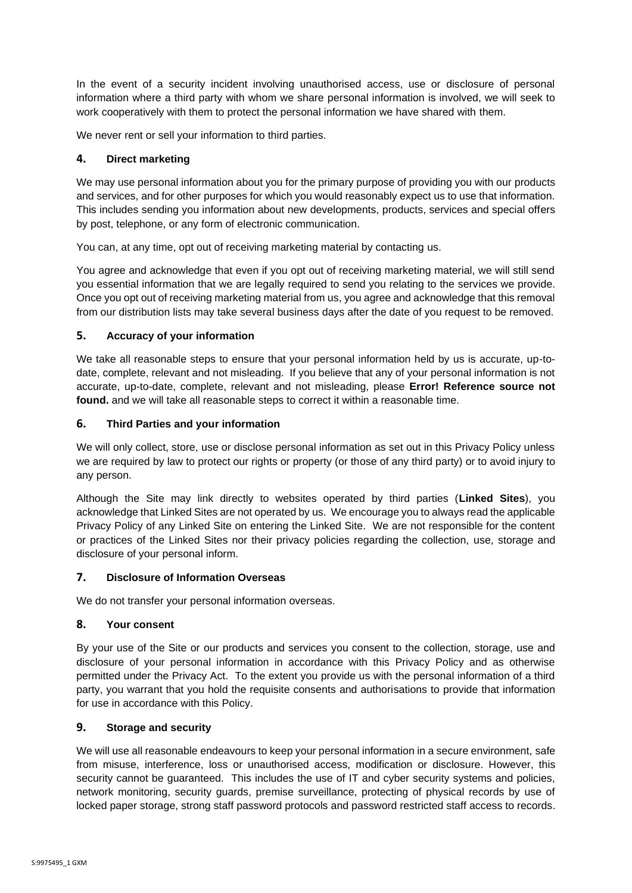In the event of a security incident involving unauthorised access, use or disclosure of personal information where a third party with whom we share personal information is involved, we will seek to work cooperatively with them to protect the personal information we have shared with them.

We never rent or sell your information to third parties.

## **4. Direct marketing**

We may use personal information about you for the primary purpose of providing you with our products and services, and for other purposes for which you would reasonably expect us to use that information. This includes sending you information about new developments, products, services and special offers by post, telephone, or any form of electronic communication.

You can, at any time, opt out of receiving marketing material by contacting us.

You agree and acknowledge that even if you opt out of receiving marketing material, we will still send you essential information that we are legally required to send you relating to the services we provide. Once you opt out of receiving marketing material from us, you agree and acknowledge that this removal from our distribution lists may take several business days after the date of you request to be removed.

## **5. Accuracy of your information**

We take all reasonable steps to ensure that your personal information held by us is accurate, up-todate, complete, relevant and not misleading. If you believe that any of your personal information is not accurate, up-to-date, complete, relevant and not misleading, please **Error! Reference source not found.** and we will take all reasonable steps to correct it within a reasonable time.

## **6. Third Parties and your information**

We will only collect, store, use or disclose personal information as set out in this Privacy Policy unless we are required by law to protect our rights or property (or those of any third party) or to avoid injury to any person.

Although the Site may link directly to websites operated by third parties (**Linked Sites**), you acknowledge that Linked Sites are not operated by us. We encourage you to always read the applicable Privacy Policy of any Linked Site on entering the Linked Site. We are not responsible for the content or practices of the Linked Sites nor their privacy policies regarding the collection, use, storage and disclosure of your personal inform.

## **7. Disclosure of Information Overseas**

We do not transfer your personal information overseas.

## **8. Your consent**

By your use of the Site or our products and services you consent to the collection, storage, use and disclosure of your personal information in accordance with this Privacy Policy and as otherwise permitted under the Privacy Act. To the extent you provide us with the personal information of a third party, you warrant that you hold the requisite consents and authorisations to provide that information for use in accordance with this Policy.

## **9. Storage and security**

We will use all reasonable endeavours to keep your personal information in a secure environment, safe from misuse, interference, loss or unauthorised access, modification or disclosure. However, this security cannot be guaranteed. This includes the use of IT and cyber security systems and policies, network monitoring, security guards, premise surveillance, protecting of physical records by use of locked paper storage, strong staff password protocols and password restricted staff access to records.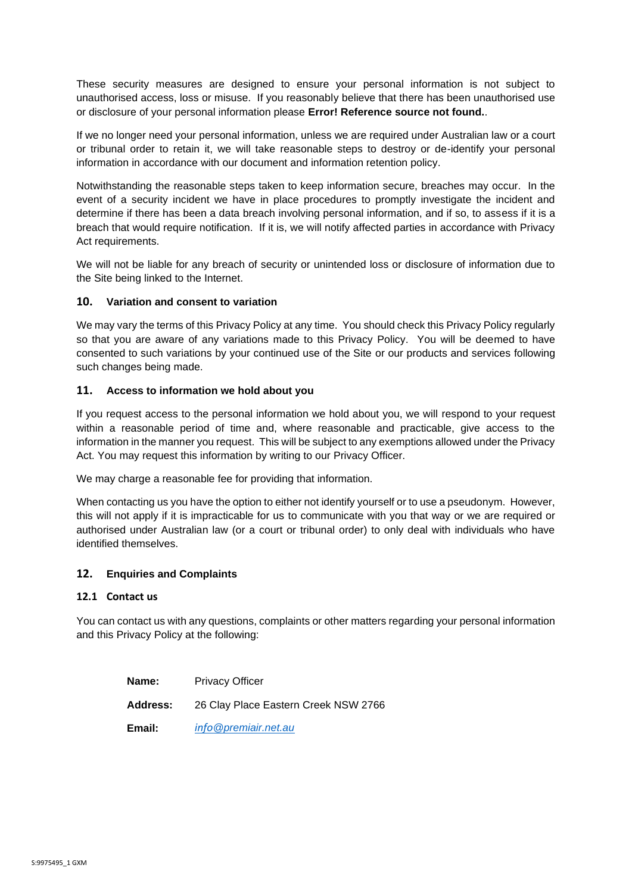These security measures are designed to ensure your personal information is not subject to unauthorised access, loss or misuse. If you reasonably believe that there has been unauthorised use or disclosure of your personal information please **Error! Reference source not found.**.

If we no longer need your personal information, unless we are required under Australian law or a court or tribunal order to retain it, we will take reasonable steps to destroy or de-identify your personal information in accordance with our document and information retention policy.

Notwithstanding the reasonable steps taken to keep information secure, breaches may occur. In the event of a security incident we have in place procedures to promptly investigate the incident and determine if there has been a data breach involving personal information, and if so, to assess if it is a breach that would require notification. If it is, we will notify affected parties in accordance with Privacy Act requirements.

We will not be liable for any breach of security or unintended loss or disclosure of information due to the Site being linked to the Internet.

## **10. Variation and consent to variation**

We may vary the terms of this Privacy Policy at any time. You should check this Privacy Policy regularly so that you are aware of any variations made to this Privacy Policy. You will be deemed to have consented to such variations by your continued use of the Site or our products and services following such changes being made.

## **11. Access to information we hold about you**

If you request access to the personal information we hold about you, we will respond to your request within a reasonable period of time and, where reasonable and practicable, give access to the information in the manner you request. This will be subject to any exemptions allowed under the Privacy Act. You may request this information by writing to our Privacy Officer.

We may charge a reasonable fee for providing that information.

When contacting us you have the option to either not identify yourself or to use a pseudonym. However, this will not apply if it is impracticable for us to communicate with you that way or we are required or authorised under Australian law (or a court or tribunal order) to only deal with individuals who have identified themselves.

## **12. Enquiries and Complaints**

## **12.1 Contact us**

You can contact us with any questions, complaints or other matters regarding your personal information and this Privacy Policy at the following:

| Name:           | <b>Privacy Officer</b>               |
|-----------------|--------------------------------------|
| <b>Address:</b> | 26 Clay Place Eastern Creek NSW 2766 |
| Email:          | info @premiair.net.au                |